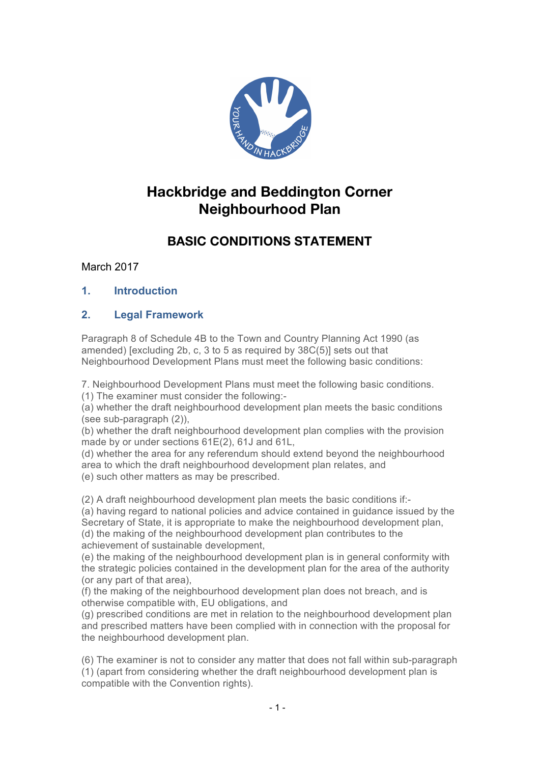

# **Hackbridge and Beddington Corner Neighbourhood Plan**

# **BASIC CONDITIONS STATEMENT**

# March 2017

**1. Introduction**

## **2. Legal Framework**

Paragraph 8 of Schedule 4B to the Town and Country Planning Act 1990 (as amended) [excluding 2b, c, 3 to 5 as required by 38C(5)] sets out that Neighbourhood Development Plans must meet the following basic conditions:

7. Neighbourhood Development Plans must meet the following basic conditions. (1) The examiner must consider the following:-

(a) whether the draft neighbourhood development plan meets the basic conditions (see sub-paragraph (2)),

(b) whether the draft neighbourhood development plan complies with the provision made by or under sections 61E(2), 61J and 61L,

(d) whether the area for any referendum should extend beyond the neighbourhood area to which the draft neighbourhood development plan relates, and (e) such other matters as may be prescribed.

(2) A draft neighbourhood development plan meets the basic conditions if:-

(a) having regard to national policies and advice contained in guidance issued by the Secretary of State, it is appropriate to make the neighbourhood development plan, (d) the making of the neighbourhood development plan contributes to the achievement of sustainable development,

(e) the making of the neighbourhood development plan is in general conformity with the strategic policies contained in the development plan for the area of the authority (or any part of that area),

(f) the making of the neighbourhood development plan does not breach, and is otherwise compatible with, EU obligations, and

(g) prescribed conditions are met in relation to the neighbourhood development plan and prescribed matters have been complied with in connection with the proposal for the neighbourhood development plan.

(6) The examiner is not to consider any matter that does not fall within sub-paragraph (1) (apart from considering whether the draft neighbourhood development plan is compatible with the Convention rights).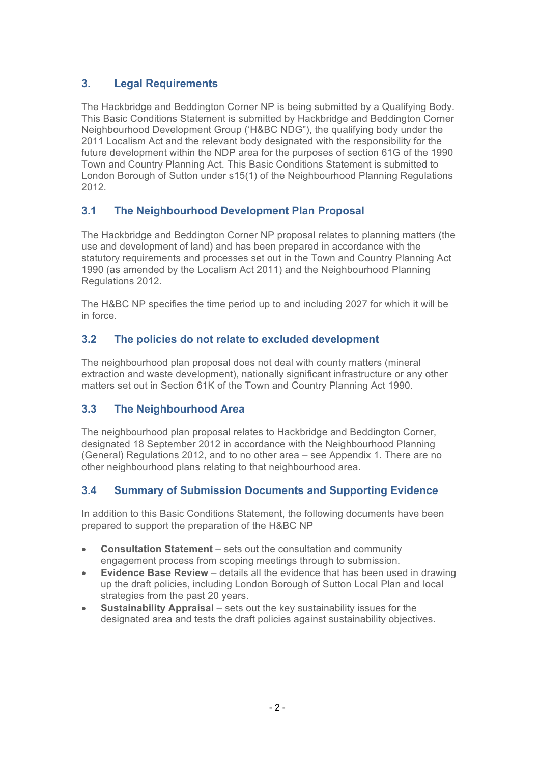## **3. Legal Requirements**

The Hackbridge and Beddington Corner NP is being submitted by a Qualifying Body. This Basic Conditions Statement is submitted by Hackbridge and Beddington Corner Neighbourhood Development Group ('H&BC NDG"), the qualifying body under the 2011 Localism Act and the relevant body designated with the responsibility for the future development within the NDP area for the purposes of section 61G of the 1990 Town and Country Planning Act. This Basic Conditions Statement is submitted to London Borough of Sutton under s15(1) of the Neighbourhood Planning Regulations 2012.

### **3.1 The Neighbourhood Development Plan Proposal**

The Hackbridge and Beddington Corner NP proposal relates to planning matters (the use and development of land) and has been prepared in accordance with the statutory requirements and processes set out in the Town and Country Planning Act 1990 (as amended by the Localism Act 2011) and the Neighbourhood Planning Regulations 2012.

The H&BC NP specifies the time period up to and including 2027 for which it will be in force.

### **3.2 The policies do not relate to excluded development**

The neighbourhood plan proposal does not deal with county matters (mineral extraction and waste development), nationally significant infrastructure or any other matters set out in Section 61K of the Town and Country Planning Act 1990.

### **3.3 The Neighbourhood Area**

The neighbourhood plan proposal relates to Hackbridge and Beddington Corner, designated 18 September 2012 in accordance with the Neighbourhood Planning (General) Regulations 2012, and to no other area – see Appendix 1. There are no other neighbourhood plans relating to that neighbourhood area.

### **3.4 Summary of Submission Documents and Supporting Evidence**

In addition to this Basic Conditions Statement, the following documents have been prepared to support the preparation of the H&BC NP

- **Consultation Statement** sets out the consultation and community engagement process from scoping meetings through to submission.
- **Evidence Base Review** details all the evidence that has been used in drawing up the draft policies, including London Borough of Sutton Local Plan and local strategies from the past 20 years.
- **Sustainability Appraisal** sets out the key sustainability issues for the designated area and tests the draft policies against sustainability objectives.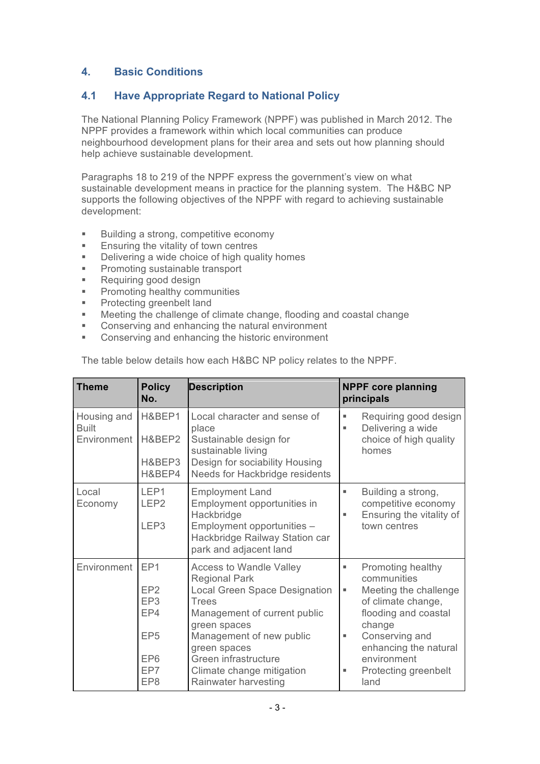## **4. Basic Conditions**

### **4.1 Have Appropriate Regard to National Policy**

The National Planning Policy Framework (NPPF) was published in March 2012. The NPPF provides a framework within which local communities can produce neighbourhood development plans for their area and sets out how planning should help achieve sustainable development.

Paragraphs 18 to 219 of the NPPF express the government's view on what sustainable development means in practice for the planning system. The H&BC NP supports the following objectives of the NPPF with regard to achieving sustainable development:

- Building a strong, competitive economy
- **Ensuring the vitality of town centres**
- Delivering a wide choice of high quality homes
- Promoting sustainable transport
- Requiring good design
- **■** Promoting healthy communities
- Protecting greenbelt land
- Meeting the challenge of climate change, flooding and coastal change
- Conserving and enhancing the natural environment
- Conserving and enhancing the historic environment

| <b>Theme</b>                               | <b>Policy</b><br>No.                                                                                             | <b>Description</b>                                                                                                                                                                                                                                                                      | <b>NPPF core planning</b><br>principals                                                                                                                                                                                         |  |
|--------------------------------------------|------------------------------------------------------------------------------------------------------------------|-----------------------------------------------------------------------------------------------------------------------------------------------------------------------------------------------------------------------------------------------------------------------------------------|---------------------------------------------------------------------------------------------------------------------------------------------------------------------------------------------------------------------------------|--|
| Housing and<br><b>Built</b><br>Environment | H&BEP1<br>H&BEP2<br>H&BEP3<br>H&BEP4                                                                             | Local character and sense of<br>place<br>Sustainable design for<br>sustainable living<br>Design for sociability Housing<br>Needs for Hackbridge residents                                                                                                                               | Requiring good design<br>ш<br>Delivering a wide<br>٠<br>choice of high quality<br>homes                                                                                                                                         |  |
| Local<br>Economy                           | LEP1<br>LEP <sub>2</sub><br>LEP <sub>3</sub>                                                                     | <b>Employment Land</b><br>Employment opportunities in<br>Hackbridge<br>Employment opportunities -<br>Hackbridge Railway Station car<br>park and adjacent land                                                                                                                           | Building a strong,<br>ш<br>competitive economy<br>Ensuring the vitality of<br>٠<br>town centres                                                                                                                                 |  |
| Environment                                | EP <sub>1</sub><br>EP <sub>2</sub><br>EP <sub>3</sub><br>EP4<br>EP <sub>5</sub><br>EP <sub>6</sub><br>EP7<br>EP8 | <b>Access to Wandle Valley</b><br><b>Regional Park</b><br><b>Local Green Space Designation</b><br><b>Trees</b><br>Management of current public<br>green spaces<br>Management of new public<br>green spaces<br>Green infrastructure<br>Climate change mitigation<br>Rainwater harvesting | Promoting healthy<br>٠<br>communities<br>Meeting the challenge<br>ш<br>of climate change,<br>flooding and coastal<br>change<br>Conserving and<br>٠<br>enhancing the natural<br>environment<br>Protecting greenbelt<br>ш<br>land |  |

The table below details how each H&BC NP policy relates to the NPPF.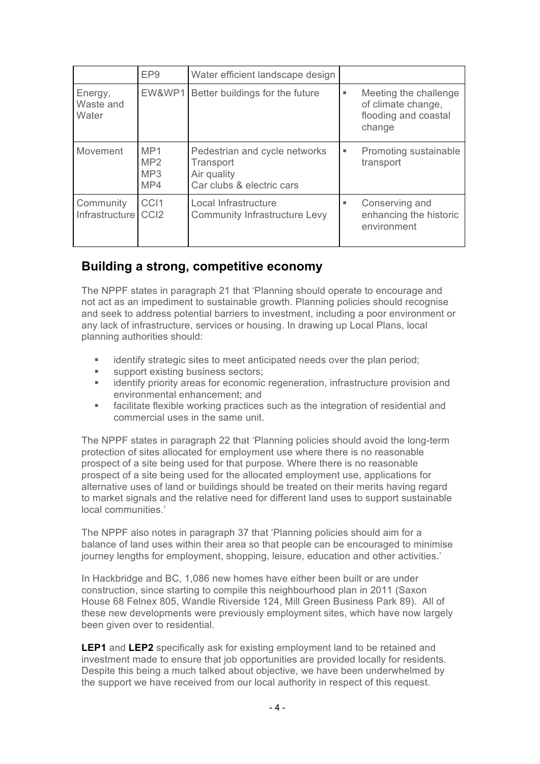|                               | EP <sub>9</sub>                      | Water efficient landscape design                                                       |   |                                                                               |
|-------------------------------|--------------------------------------|----------------------------------------------------------------------------------------|---|-------------------------------------------------------------------------------|
| Energy,<br>Waste and<br>Water | EW&WP1                               | Better buildings for the future                                                        | ٠ | Meeting the challenge<br>of climate change,<br>flooding and coastal<br>change |
| Movement                      | MP <sub>1</sub><br>MP2<br>MP3<br>MP4 | Pedestrian and cycle networks<br>Transport<br>Air quality<br>Car clubs & electric cars | ٠ | Promoting sustainable<br>transport                                            |
| Community<br>Infrastructure   | CC <sub>I1</sub><br>CC <sub>12</sub> | Local Infrastructure<br><b>Community Infrastructure Levy</b>                           | ш | Conserving and<br>enhancing the historic<br>environment                       |

# **Building a strong, competitive economy**

The NPPF states in paragraph 21 that 'Planning should operate to encourage and not act as an impediment to sustainable growth. Planning policies should recognise and seek to address potential barriers to investment, including a poor environment or any lack of infrastructure, services or housing. In drawing up Local Plans, local planning authorities should:

- identify strategic sites to meet anticipated needs over the plan period;
- support existing business sectors;
- identify priority areas for economic regeneration, infrastructure provision and environmental enhancement; and
- facilitate flexible working practices such as the integration of residential and commercial uses in the same unit.

The NPPF states in paragraph 22 that 'Planning policies should avoid the long-term protection of sites allocated for employment use where there is no reasonable prospect of a site being used for that purpose. Where there is no reasonable prospect of a site being used for the allocated employment use, applications for alternative uses of land or buildings should be treated on their merits having regard to market signals and the relative need for different land uses to support sustainable local communities.'

The NPPF also notes in paragraph 37 that 'Planning policies should aim for a balance of land uses within their area so that people can be encouraged to minimise journey lengths for employment, shopping, leisure, education and other activities.'

In Hackbridge and BC, 1,086 new homes have either been built or are under construction, since starting to compile this neighbourhood plan in 2011 (Saxon House 68 Felnex 805, Wandle Riverside 124, Mill Green Business Park 89). All of these new developments were previously employment sites, which have now largely been given over to residential.

**LEP1** and **LEP2** specifically ask for existing employment land to be retained and investment made to ensure that job opportunities are provided locally for residents. Despite this being a much talked about objective, we have been underwhelmed by the support we have received from our local authority in respect of this request.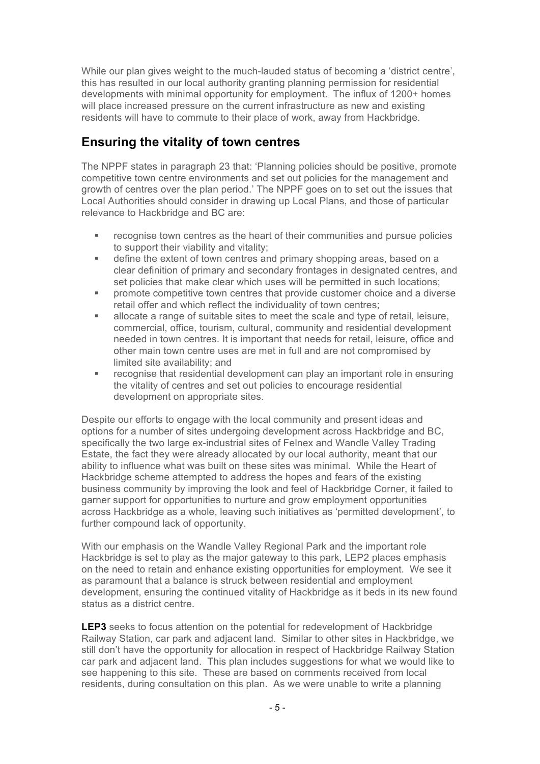While our plan gives weight to the much-lauded status of becoming a 'district centre', this has resulted in our local authority granting planning permission for residential developments with minimal opportunity for employment. The influx of 1200+ homes will place increased pressure on the current infrastructure as new and existing residents will have to commute to their place of work, away from Hackbridge.

# **Ensuring the vitality of town centres**

The NPPF states in paragraph 23 that: 'Planning policies should be positive, promote competitive town centre environments and set out policies for the management and growth of centres over the plan period.' The NPPF goes on to set out the issues that Local Authorities should consider in drawing up Local Plans, and those of particular relevance to Hackbridge and BC are:

- recognise town centres as the heart of their communities and pursue policies to support their viability and vitality;
- define the extent of town centres and primary shopping areas, based on a clear definition of primary and secondary frontages in designated centres, and set policies that make clear which uses will be permitted in such locations;
- § promote competitive town centres that provide customer choice and a diverse retail offer and which reflect the individuality of town centres;
- **allocate a range of suitable sites to meet the scale and type of retail, leisure,** commercial, office, tourism, cultural, community and residential development needed in town centres. It is important that needs for retail, leisure, office and other main town centre uses are met in full and are not compromised by limited site availability; and
- recognise that residential development can play an important role in ensuring the vitality of centres and set out policies to encourage residential development on appropriate sites.

Despite our efforts to engage with the local community and present ideas and options for a number of sites undergoing development across Hackbridge and BC, specifically the two large ex-industrial sites of Felnex and Wandle Valley Trading Estate, the fact they were already allocated by our local authority, meant that our ability to influence what was built on these sites was minimal. While the Heart of Hackbridge scheme attempted to address the hopes and fears of the existing business community by improving the look and feel of Hackbridge Corner, it failed to garner support for opportunities to nurture and grow employment opportunities across Hackbridge as a whole, leaving such initiatives as 'permitted development', to further compound lack of opportunity.

With our emphasis on the Wandle Valley Regional Park and the important role Hackbridge is set to play as the major gateway to this park, LEP2 places emphasis on the need to retain and enhance existing opportunities for employment. We see it as paramount that a balance is struck between residential and employment development, ensuring the continued vitality of Hackbridge as it beds in its new found status as a district centre.

**LEP3** seeks to focus attention on the potential for redevelopment of Hackbridge Railway Station, car park and adjacent land. Similar to other sites in Hackbridge, we still don't have the opportunity for allocation in respect of Hackbridge Railway Station car park and adjacent land. This plan includes suggestions for what we would like to see happening to this site. These are based on comments received from local residents, during consultation on this plan. As we were unable to write a planning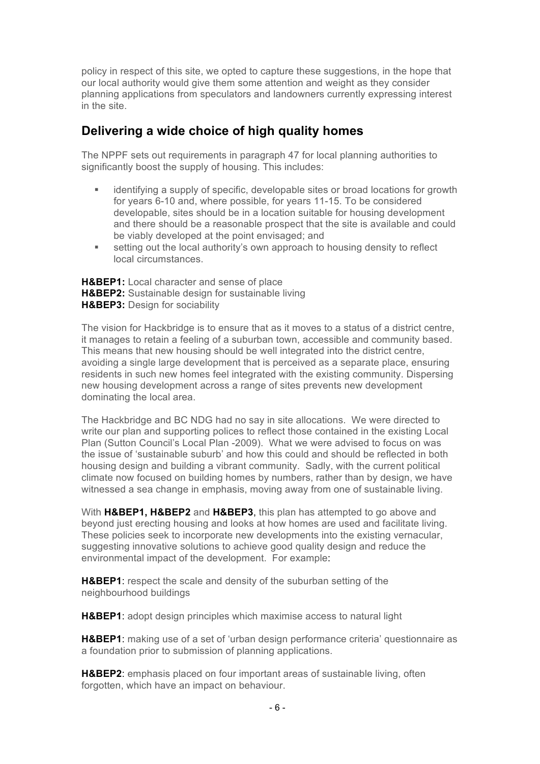policy in respect of this site, we opted to capture these suggestions, in the hope that our local authority would give them some attention and weight as they consider planning applications from speculators and landowners currently expressing interest in the site.

# **Delivering a wide choice of high quality homes**

The NPPF sets out requirements in paragraph 47 for local planning authorities to significantly boost the supply of housing. This includes:

- identifying a supply of specific, developable sites or broad locations for growth for years 6-10 and, where possible, for years 11-15. To be considered developable, sites should be in a location suitable for housing development and there should be a reasonable prospect that the site is available and could be viably developed at the point envisaged; and
- setting out the local authority's own approach to housing density to reflect local circumstances.

**H&BEP1:** Local character and sense of place **H&BEP2:** Sustainable design for sustainable living **H&BEP3:** Design for sociability

The vision for Hackbridge is to ensure that as it moves to a status of a district centre, it manages to retain a feeling of a suburban town, accessible and community based. This means that new housing should be well integrated into the district centre, avoiding a single large development that is perceived as a separate place, ensuring residents in such new homes feel integrated with the existing community. Dispersing new housing development across a range of sites prevents new development dominating the local area.

The Hackbridge and BC NDG had no say in site allocations. We were directed to write our plan and supporting polices to reflect those contained in the existing Local Plan (Sutton Council's Local Plan -2009). What we were advised to focus on was the issue of 'sustainable suburb' and how this could and should be reflected in both housing design and building a vibrant community. Sadly, with the current political climate now focused on building homes by numbers, rather than by design, we have witnessed a sea change in emphasis, moving away from one of sustainable living.

With **H&BEP1, H&BEP2** and **H&BEP3**, this plan has attempted to go above and beyond just erecting housing and looks at how homes are used and facilitate living. These policies seek to incorporate new developments into the existing vernacular, suggesting innovative solutions to achieve good quality design and reduce the environmental impact of the development. For example:

**H&BEP1**: respect the scale and density of the suburban setting of the neighbourhood buildings

**H&BEP1**: adopt design principles which maximise access to natural light

**H&BEP1**: making use of a set of 'urban design performance criteria' questionnaire as a foundation prior to submission of planning applications.

**H&BEP2**: emphasis placed on four important areas of sustainable living, often forgotten, which have an impact on behaviour.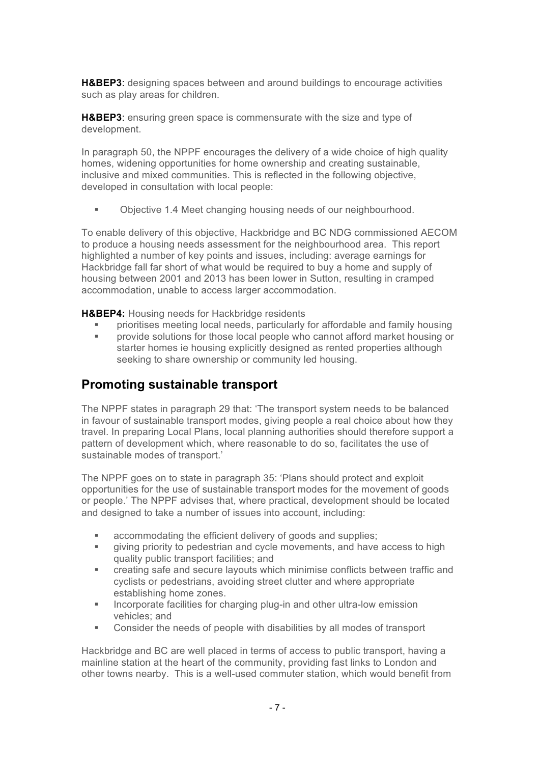**H&BEP3**: designing spaces between and around buildings to encourage activities such as play areas for children.

**H&BEP3**: ensuring green space is commensurate with the size and type of development.

In paragraph 50, the NPPF encourages the delivery of a wide choice of high quality homes, widening opportunities for home ownership and creating sustainable, inclusive and mixed communities. This is reflected in the following objective, developed in consultation with local people:

§ Objective 1.4 Meet changing housing needs of our neighbourhood.

To enable delivery of this objective, Hackbridge and BC NDG commissioned AECOM to produce a housing needs assessment for the neighbourhood area. This report highlighted a number of key points and issues, including: average earnings for Hackbridge fall far short of what would be required to buy a home and supply of housing between 2001 and 2013 has been lower in Sutton, resulting in cramped accommodation, unable to access larger accommodation.

**H&BEP4:** Housing needs for Hackbridge residents

- § prioritises meeting local needs, particularly for affordable and family housing
- § provide solutions for those local people who cannot afford market housing or starter homes ie housing explicitly designed as rented properties although seeking to share ownership or community led housing.

# **Promoting sustainable transport**

The NPPF states in paragraph 29 that: 'The transport system needs to be balanced in favour of sustainable transport modes, giving people a real choice about how they travel. In preparing Local Plans, local planning authorities should therefore support a pattern of development which, where reasonable to do so, facilitates the use of sustainable modes of transport.'

The NPPF goes on to state in paragraph 35: 'Plans should protect and exploit opportunities for the use of sustainable transport modes for the movement of goods or people.' The NPPF advises that, where practical, development should be located and designed to take a number of issues into account, including:

- accommodating the efficient delivery of goods and supplies;
- § giving priority to pedestrian and cycle movements, and have access to high quality public transport facilities; and
- creating safe and secure layouts which minimise conflicts between traffic and cyclists or pedestrians, avoiding street clutter and where appropriate establishing home zones.
- Incorporate facilities for charging plug-in and other ultra-low emission vehicles; and
- Consider the needs of people with disabilities by all modes of transport

Hackbridge and BC are well placed in terms of access to public transport, having a mainline station at the heart of the community, providing fast links to London and other towns nearby. This is a well-used commuter station, which would benefit from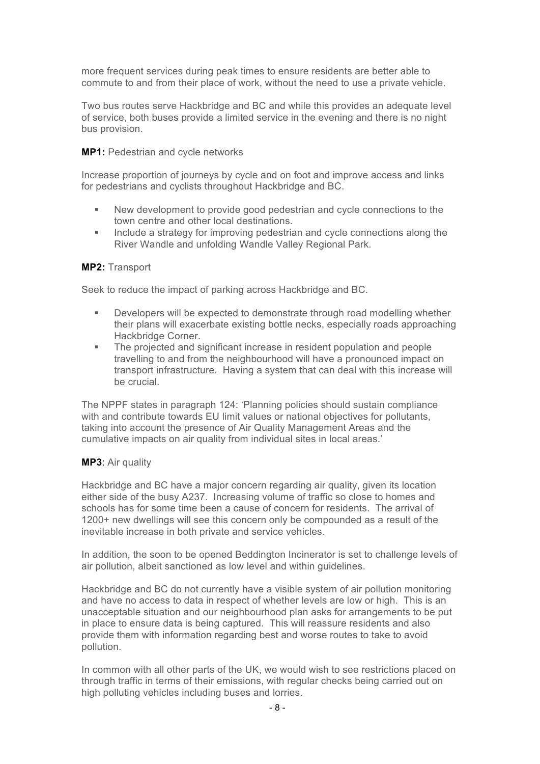more frequent services during peak times to ensure residents are better able to commute to and from their place of work, without the need to use a private vehicle.

Two bus routes serve Hackbridge and BC and while this provides an adequate level of service, both buses provide a limited service in the evening and there is no night bus provision.

#### **MP1:** Pedestrian and cycle networks

Increase proportion of journeys by cycle and on foot and improve access and links for pedestrians and cyclists throughout Hackbridge and BC.

- New development to provide good pedestrian and cycle connections to the town centre and other local destinations.
- **■** Include a strategy for improving pedestrian and cycle connections along the River Wandle and unfolding Wandle Valley Regional Park.

#### **MP2:** Transport

Seek to reduce the impact of parking across Hackbridge and BC.

- § Developers will be expected to demonstrate through road modelling whether their plans will exacerbate existing bottle necks, especially roads approaching Hackbridge Corner.
- The projected and significant increase in resident population and people travelling to and from the neighbourhood will have a pronounced impact on transport infrastructure. Having a system that can deal with this increase will be crucial.

The NPPF states in paragraph 124: 'Planning policies should sustain compliance with and contribute towards EU limit values or national objectives for pollutants, taking into account the presence of Air Quality Management Areas and the cumulative impacts on air quality from individual sites in local areas.'

#### **MP3**: Air quality

Hackbridge and BC have a major concern regarding air quality, given its location either side of the busy A237. Increasing volume of traffic so close to homes and schools has for some time been a cause of concern for residents. The arrival of 1200+ new dwellings will see this concern only be compounded as a result of the inevitable increase in both private and service vehicles.

In addition, the soon to be opened Beddington Incinerator is set to challenge levels of air pollution, albeit sanctioned as low level and within guidelines.

Hackbridge and BC do not currently have a visible system of air pollution monitoring and have no access to data in respect of whether levels are low or high. This is an unacceptable situation and our neighbourhood plan asks for arrangements to be put in place to ensure data is being captured. This will reassure residents and also provide them with information regarding best and worse routes to take to avoid pollution.

In common with all other parts of the UK, we would wish to see restrictions placed on through traffic in terms of their emissions, with regular checks being carried out on high polluting vehicles including buses and lorries.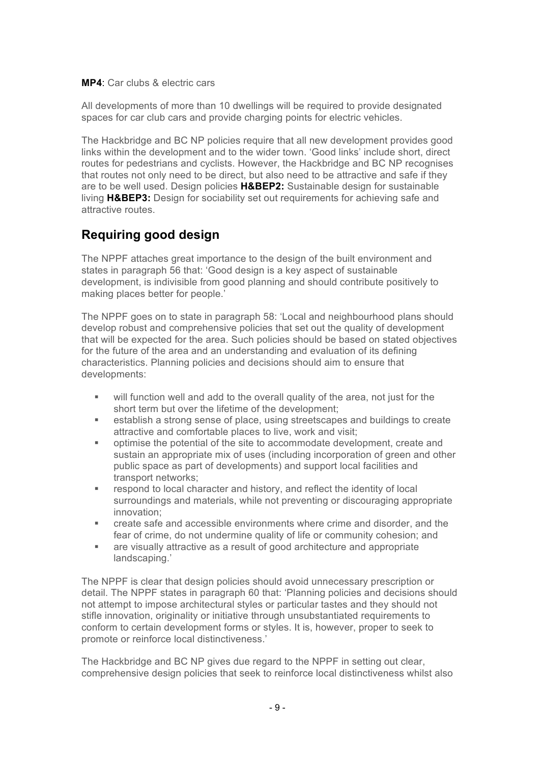**MP4**: Car clubs & electric cars

All developments of more than 10 dwellings will be required to provide designated spaces for car club cars and provide charging points for electric vehicles.

The Hackbridge and BC NP policies require that all new development provides good links within the development and to the wider town. 'Good links' include short, direct routes for pedestrians and cyclists. However, the Hackbridge and BC NP recognises that routes not only need to be direct, but also need to be attractive and safe if they are to be well used. Design policies **H&BEP2:** Sustainable design for sustainable living **H&BEP3:** Design for sociability set out requirements for achieving safe and attractive routes.

# **Requiring good design**

The NPPF attaches great importance to the design of the built environment and states in paragraph 56 that: 'Good design is a key aspect of sustainable development, is indivisible from good planning and should contribute positively to making places better for people.'

The NPPF goes on to state in paragraph 58: 'Local and neighbourhood plans should develop robust and comprehensive policies that set out the quality of development that will be expected for the area. Such policies should be based on stated objectives for the future of the area and an understanding and evaluation of its defining characteristics. Planning policies and decisions should aim to ensure that developments:

- will function well and add to the overall quality of the area, not just for the short term but over the lifetime of the development;
- establish a strong sense of place, using streetscapes and buildings to create attractive and comfortable places to live, work and visit;
- optimise the potential of the site to accommodate development, create and sustain an appropriate mix of uses (including incorporation of green and other public space as part of developments) and support local facilities and transport networks;
- respond to local character and history, and reflect the identity of local surroundings and materials, while not preventing or discouraging appropriate innovation;
- create safe and accessible environments where crime and disorder, and the fear of crime, do not undermine quality of life or community cohesion; and
- are visually attractive as a result of good architecture and appropriate landscaping.'

The NPPF is clear that design policies should avoid unnecessary prescription or detail. The NPPF states in paragraph 60 that: 'Planning policies and decisions should not attempt to impose architectural styles or particular tastes and they should not stifle innovation, originality or initiative through unsubstantiated requirements to conform to certain development forms or styles. It is, however, proper to seek to promote or reinforce local distinctiveness.'

The Hackbridge and BC NP gives due regard to the NPPF in setting out clear, comprehensive design policies that seek to reinforce local distinctiveness whilst also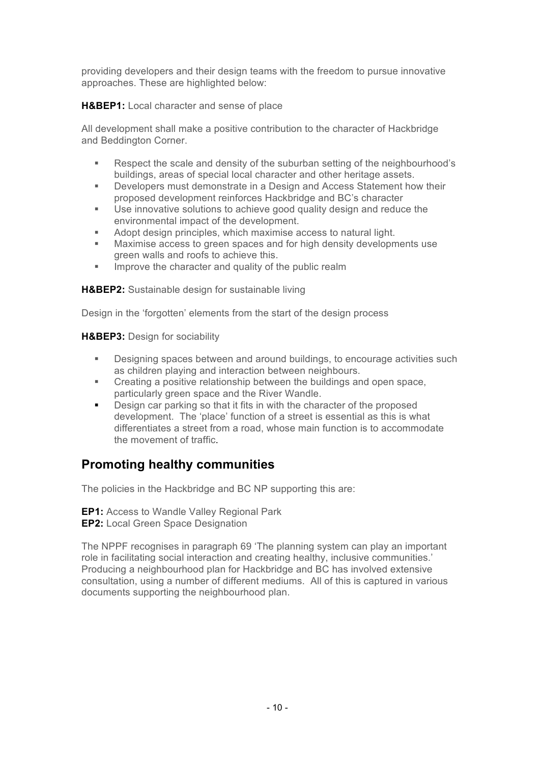providing developers and their design teams with the freedom to pursue innovative approaches. These are highlighted below:

### **H&BEP1:** Local character and sense of place

All development shall make a positive contribution to the character of Hackbridge and Beddington Corner.

- § Respect the scale and density of the suburban setting of the neighbourhood's buildings, areas of special local character and other heritage assets.
- § Developers must demonstrate in a Design and Access Statement how their proposed development reinforces Hackbridge and BC's character
- Use innovative solutions to achieve good quality design and reduce the environmental impact of the development.
- Adopt design principles, which maximise access to natural light.<br>■ Maximise access to green spaces and for high density developm
- Maximise access to green spaces and for high density developments use green walls and roofs to achieve this.
- **■** Improve the character and quality of the public realm

**H&BEP2:** Sustainable design for sustainable living

Design in the 'forgotten' elements from the start of the design process

**H&BEP3:** Design for sociability

- § Designing spaces between and around buildings, to encourage activities such as children playing and interaction between neighbours.
- Creating a positive relationship between the buildings and open space, particularly green space and the River Wandle.
- Design car parking so that it fits in with the character of the proposed development. The 'place' function of a street is essential as this is what differentiates a street from a road, whose main function is to accommodate the movement of traffic.

# **Promoting healthy communities**

The policies in the Hackbridge and BC NP supporting this are:

**EP1:** Access to Wandle Valley Regional Park **EP2:** Local Green Space Designation

The NPPF recognises in paragraph 69 'The planning system can play an important role in facilitating social interaction and creating healthy, inclusive communities.' Producing a neighbourhood plan for Hackbridge and BC has involved extensive consultation, using a number of different mediums. All of this is captured in various documents supporting the neighbourhood plan.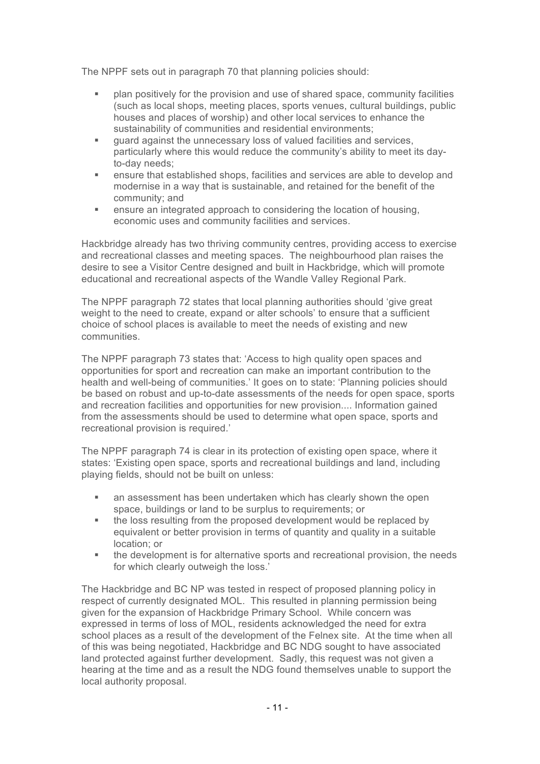The NPPF sets out in paragraph 70 that planning policies should:

- § plan positively for the provision and use of shared space, community facilities (such as local shops, meeting places, sports venues, cultural buildings, public houses and places of worship) and other local services to enhance the sustainability of communities and residential environments;
- quard against the unnecessary loss of valued facilities and services, particularly where this would reduce the community's ability to meet its dayto-day needs;
- ensure that established shops, facilities and services are able to develop and modernise in a way that is sustainable, and retained for the benefit of the community; and
- ensure an integrated approach to considering the location of housing, economic uses and community facilities and services.

Hackbridge already has two thriving community centres, providing access to exercise and recreational classes and meeting spaces. The neighbourhood plan raises the desire to see a Visitor Centre designed and built in Hackbridge, which will promote educational and recreational aspects of the Wandle Valley Regional Park.

The NPPF paragraph 72 states that local planning authorities should 'give great weight to the need to create, expand or alter schools' to ensure that a sufficient choice of school places is available to meet the needs of existing and new communities.

The NPPF paragraph 73 states that: 'Access to high quality open spaces and opportunities for sport and recreation can make an important contribution to the health and well-being of communities.' It goes on to state: 'Planning policies should be based on robust and up-to-date assessments of the needs for open space, sports and recreation facilities and opportunities for new provision.... Information gained from the assessments should be used to determine what open space, sports and recreational provision is required.'

The NPPF paragraph 74 is clear in its protection of existing open space, where it states: 'Existing open space, sports and recreational buildings and land, including playing fields, should not be built on unless:

- an assessment has been undertaken which has clearly shown the open space, buildings or land to be surplus to requirements; or
- the loss resulting from the proposed development would be replaced by equivalent or better provision in terms of quantity and quality in a suitable location; or
- the development is for alternative sports and recreational provision, the needs for which clearly outweigh the loss.'

The Hackbridge and BC NP was tested in respect of proposed planning policy in respect of currently designated MOL. This resulted in planning permission being given for the expansion of Hackbridge Primary School. While concern was expressed in terms of loss of MOL, residents acknowledged the need for extra school places as a result of the development of the Felnex site. At the time when all of this was being negotiated, Hackbridge and BC NDG sought to have associated land protected against further development. Sadly, this request was not given a hearing at the time and as a result the NDG found themselves unable to support the local authority proposal.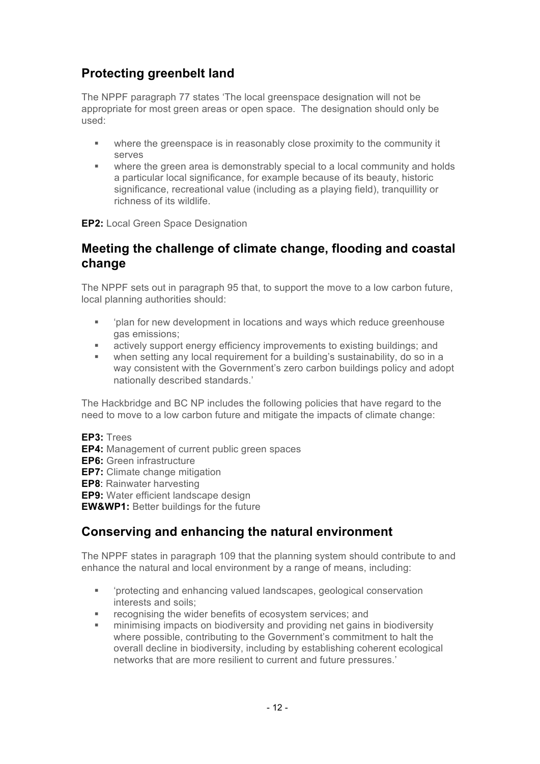# **Protecting greenbelt land**

The NPPF paragraph 77 states 'The local greenspace designation will not be appropriate for most green areas or open space. The designation should only be used:

- where the greenspace is in reasonably close proximity to the community it serves
- where the green area is demonstrably special to a local community and holds a particular local significance, for example because of its beauty, historic significance, recreational value (including as a playing field), tranquillity or richness of its wildlife.

**EP2:** Local Green Space Designation

## **Meeting the challenge of climate change, flooding and coastal change**

The NPPF sets out in paragraph 95 that, to support the move to a low carbon future, local planning authorities should:

- 'plan for new development in locations and ways which reduce greenhouse gas emissions;
- **Example 3** actively support energy efficiency improvements to existing buildings; and
- when setting any local requirement for a building's sustainability, do so in a way consistent with the Government's zero carbon buildings policy and adopt nationally described standards.'

The Hackbridge and BC NP includes the following policies that have regard to the need to move to a low carbon future and mitigate the impacts of climate change:

- **EP3:** Trees
- **EP4:** Management of current public green spaces
- **EP6:** Green infrastructure
- **EP7:** Climate change mitigation

**EP8**: Rainwater harvesting

**EP9:** Water efficient landscape design

**EW&WP1:** Better buildings for the future

# **Conserving and enhancing the natural environment**

The NPPF states in paragraph 109 that the planning system should contribute to and enhance the natural and local environment by a range of means, including:

- 'protecting and enhancing valued landscapes, geological conservation interests and soils;
- recognising the wider benefits of ecosystem services; and
- § minimising impacts on biodiversity and providing net gains in biodiversity where possible, contributing to the Government's commitment to halt the overall decline in biodiversity, including by establishing coherent ecological networks that are more resilient to current and future pressures.'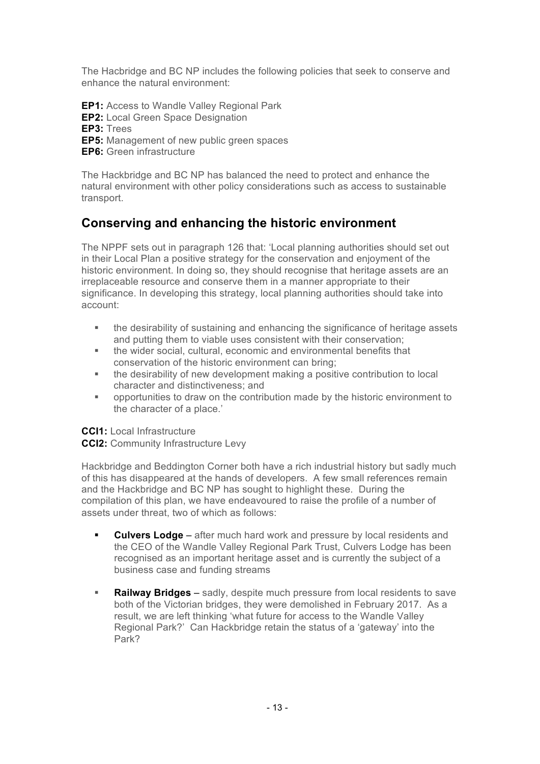The Hacbridge and BC NP includes the following policies that seek to conserve and enhance the natural environment:

**EP1:** Access to Wandle Valley Regional Park

- **EP2:** Local Green Space Designation
- **EP3:** Trees
- **EP5:** Management of new public green spaces
- **EP6:** Green infrastructure

The Hackbridge and BC NP has balanced the need to protect and enhance the natural environment with other policy considerations such as access to sustainable transport.

# **Conserving and enhancing the historic environment**

The NPPF sets out in paragraph 126 that: 'Local planning authorities should set out in their Local Plan a positive strategy for the conservation and enjoyment of the historic environment. In doing so, they should recognise that heritage assets are an irreplaceable resource and conserve them in a manner appropriate to their significance. In developing this strategy, local planning authorities should take into account:

- the desirability of sustaining and enhancing the significance of heritage assets and putting them to viable uses consistent with their conservation;
- § the wider social, cultural, economic and environmental benefits that conservation of the historic environment can bring;
- the desirability of new development making a positive contribution to local character and distinctiveness; and
- § opportunities to draw on the contribution made by the historic environment to the character of a place.'

**CCI1:** Local Infrastructure

**CCI2:** Community Infrastructure Levy

Hackbridge and Beddington Corner both have a rich industrial history but sadly much of this has disappeared at the hands of developers. A few small references remain and the Hackbridge and BC NP has sought to highlight these. During the compilation of this plan, we have endeavoured to raise the profile of a number of assets under threat, two of which as follows:

- **Culvers Lodge** after much hard work and pressure by local residents and the CEO of the Wandle Valley Regional Park Trust, Culvers Lodge has been recognised as an important heritage asset and is currently the subject of a business case and funding streams
- **Railway Bridges** sadly, despite much pressure from local residents to save both of the Victorian bridges, they were demolished in February 2017. As a result, we are left thinking 'what future for access to the Wandle Valley Regional Park?' Can Hackbridge retain the status of a 'gateway' into the Park?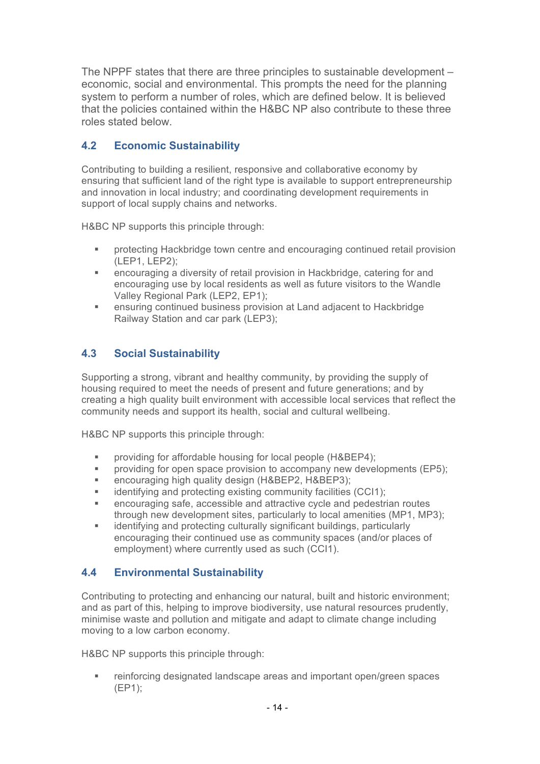The NPPF states that there are three principles to sustainable development – economic, social and environmental. This prompts the need for the planning system to perform a number of roles, which are defined below. It is believed that the policies contained within the H&BC NP also contribute to these three roles stated below.

# **4.2 Economic Sustainability**

Contributing to building a resilient, responsive and collaborative economy by ensuring that sufficient land of the right type is available to support entrepreneurship and innovation in local industry; and coordinating development requirements in support of local supply chains and networks.

H&BC NP supports this principle through:

- § protecting Hackbridge town centre and encouraging continued retail provision (LEP1, LEP2);
- encouraging a diversity of retail provision in Hackbridge, catering for and encouraging use by local residents as well as future visitors to the Wandle Valley Regional Park (LEP2, EP1);
- ensuring continued business provision at Land adjacent to Hackbridge Railway Station and car park (LEP3);

# **4.3 Social Sustainability**

Supporting a strong, vibrant and healthy community, by providing the supply of housing required to meet the needs of present and future generations; and by creating a high quality built environment with accessible local services that reflect the community needs and support its health, social and cultural wellbeing.

H&BC NP supports this principle through:

- providing for affordable housing for local people (H&BEP4);
- § providing for open space provision to accompany new developments (EP5);
- encouraging high quality design (H&BEP2, H&BEP3);
- identifying and protecting existing community facilities (CCI1);
- encouraging safe, accessible and attractive cycle and pedestrian routes through new development sites, particularly to local amenities (MP1, MP3);
- identifying and protecting culturally significant buildings, particularly encouraging their continued use as community spaces (and/or places of employment) where currently used as such (CCI1).

### **4.4 Environmental Sustainability**

Contributing to protecting and enhancing our natural, built and historic environment; and as part of this, helping to improve biodiversity, use natural resources prudently, minimise waste and pollution and mitigate and adapt to climate change including moving to a low carbon economy.

H&BC NP supports this principle through:

■ reinforcing designated landscape areas and important open/green spaces (EP1);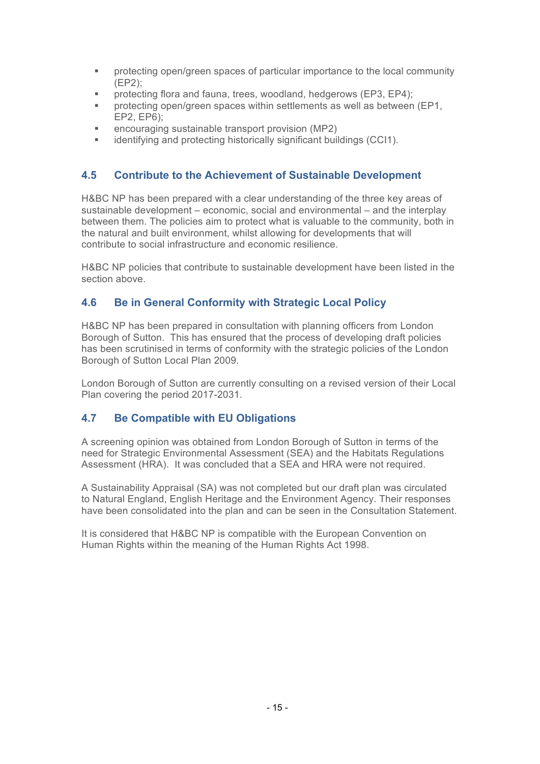- § protecting open/green spaces of particular importance to the local community (EP2);
- protecting flora and fauna, trees, woodland, hedgerows (EP3, EP4);
- protecting open/green spaces within settlements as well as between (EP1, EP2, EP6);
- § encouraging sustainable transport provision (MP2)
- identifying and protecting historically significant buildings (CCI1).

### **4.5 Contribute to the Achievement of Sustainable Development**

H&BC NP has been prepared with a clear understanding of the three key areas of sustainable development – economic, social and environmental – and the interplay between them. The policies aim to protect what is valuable to the community, both in the natural and built environment, whilst allowing for developments that will contribute to social infrastructure and economic resilience.

H&BC NP policies that contribute to sustainable development have been listed in the section above.

### **4.6 Be in General Conformity with Strategic Local Policy**

H&BC NP has been prepared in consultation with planning officers from London Borough of Sutton. This has ensured that the process of developing draft policies has been scrutinised in terms of conformity with the strategic policies of the London Borough of Sutton Local Plan 2009.

London Borough of Sutton are currently consulting on a revised version of their Local Plan covering the period 2017-2031.

### **4.7 Be Compatible with EU Obligations**

A screening opinion was obtained from London Borough of Sutton in terms of the need for Strategic Environmental Assessment (SEA) and the Habitats Regulations Assessment (HRA). It was concluded that a SEA and HRA were not required.

A Sustainability Appraisal (SA) was not completed but our draft plan was circulated to Natural England, English Heritage and the Environment Agency. Their responses have been consolidated into the plan and can be seen in the Consultation Statement.

It is considered that H&BC NP is compatible with the European Convention on Human Rights within the meaning of the Human Rights Act 1998.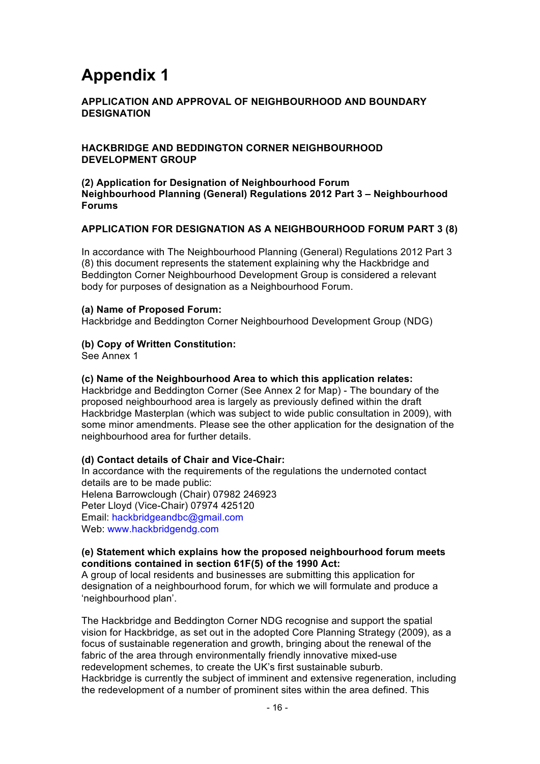# **Appendix 1**

### **APPLICATION AND APPROVAL OF NEIGHBOURHOOD AND BOUNDARY DESIGNATION**

### **HACKBRIDGE AND BEDDINGTON CORNER NEIGHBOURHOOD DEVELOPMENT GROUP**

#### **(2) Application for Designation of Neighbourhood Forum Neighbourhood Planning (General) Regulations 2012 Part 3 – Neighbourhood Forums**

### **APPLICATION FOR DESIGNATION AS A NEIGHBOURHOOD FORUM PART 3 (8)**

In accordance with The Neighbourhood Planning (General) Regulations 2012 Part 3 (8) this document represents the statement explaining why the Hackbridge and Beddington Corner Neighbourhood Development Group is considered a relevant body for purposes of designation as a Neighbourhood Forum.

#### **(a) Name of Proposed Forum:**

Hackbridge and Beddington Corner Neighbourhood Development Group (NDG)

#### **(b) Copy of Written Constitution:**

See Annex 1

#### **(c) Name of the Neighbourhood Area to which this application relates:**

Hackbridge and Beddington Corner (See Annex 2 for Map) - The boundary of the proposed neighbourhood area is largely as previously defined within the draft Hackbridge Masterplan (which was subject to wide public consultation in 2009), with some minor amendments. Please see the other application for the designation of the neighbourhood area for further details.

#### **(d) Contact details of Chair and Vice-Chair:**

In accordance with the requirements of the regulations the undernoted contact details are to be made public: Helena Barrowclough (Chair) 07982 246923 Peter Lloyd (Vice-Chair) 07974 425120 Email: hackbridgeandbc@gmail.com Web: www.hackbridgendg.com

### **(e) Statement which explains how the proposed neighbourhood forum meets conditions contained in section 61F(5) of the 1990 Act:**

A group of local residents and businesses are submitting this application for designation of a neighbourhood forum, for which we will formulate and produce a 'neighbourhood plan'.

The Hackbridge and Beddington Corner NDG recognise and support the spatial vision for Hackbridge, as set out in the adopted Core Planning Strategy (2009), as a focus of sustainable regeneration and growth, bringing about the renewal of the fabric of the area through environmentally friendly innovative mixed-use redevelopment schemes, to create the UK's first sustainable suburb. Hackbridge is currently the subject of imminent and extensive regeneration, including the redevelopment of a number of prominent sites within the area defined. This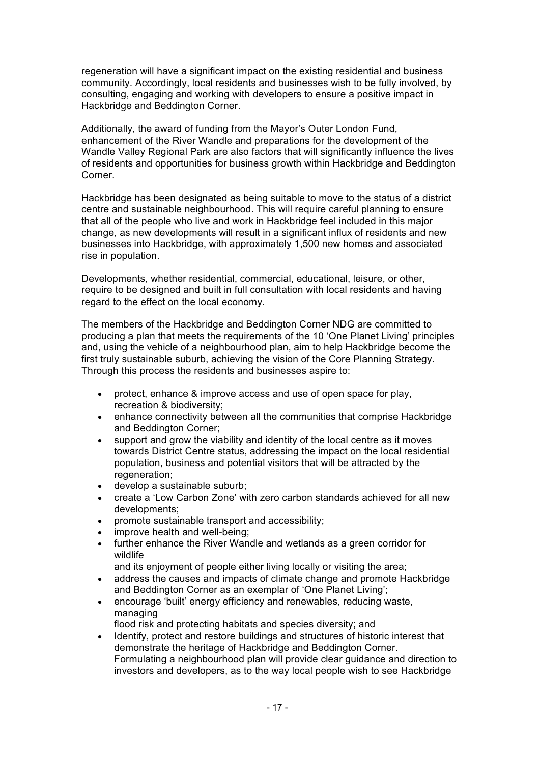regeneration will have a significant impact on the existing residential and business community. Accordingly, local residents and businesses wish to be fully involved, by consulting, engaging and working with developers to ensure a positive impact in Hackbridge and Beddington Corner.

Additionally, the award of funding from the Mayor's Outer London Fund, enhancement of the River Wandle and preparations for the development of the Wandle Valley Regional Park are also factors that will significantly influence the lives of residents and opportunities for business growth within Hackbridge and Beddington Corner.

Hackbridge has been designated as being suitable to move to the status of a district centre and sustainable neighbourhood. This will require careful planning to ensure that all of the people who live and work in Hackbridge feel included in this major change, as new developments will result in a significant influx of residents and new businesses into Hackbridge, with approximately 1,500 new homes and associated rise in population.

Developments, whether residential, commercial, educational, leisure, or other, require to be designed and built in full consultation with local residents and having regard to the effect on the local economy.

The members of the Hackbridge and Beddington Corner NDG are committed to producing a plan that meets the requirements of the 10 'One Planet Living' principles and, using the vehicle of a neighbourhood plan, aim to help Hackbridge become the first truly sustainable suburb, achieving the vision of the Core Planning Strategy. Through this process the residents and businesses aspire to:

- protect, enhance & improve access and use of open space for play, recreation & biodiversity;
- enhance connectivity between all the communities that comprise Hackbridge and Beddington Corner;
- support and grow the viability and identity of the local centre as it moves towards District Centre status, addressing the impact on the local residential population, business and potential visitors that will be attracted by the regeneration;
- develop a sustainable suburb;
- create a 'Low Carbon Zone' with zero carbon standards achieved for all new developments;
- promote sustainable transport and accessibility;
- improve health and well-being:
- further enhance the River Wandle and wetlands as a green corridor for wildlife

and its enjoyment of people either living locally or visiting the area;

- address the causes and impacts of climate change and promote Hackbridge and Beddington Corner as an exemplar of 'One Planet Living';
- encourage 'built' energy efficiency and renewables, reducing waste, managing
- flood risk and protecting habitats and species diversity; and • Identify, protect and restore buildings and structures of historic interest that
- demonstrate the heritage of Hackbridge and Beddington Corner. Formulating a neighbourhood plan will provide clear guidance and direction to investors and developers, as to the way local people wish to see Hackbridge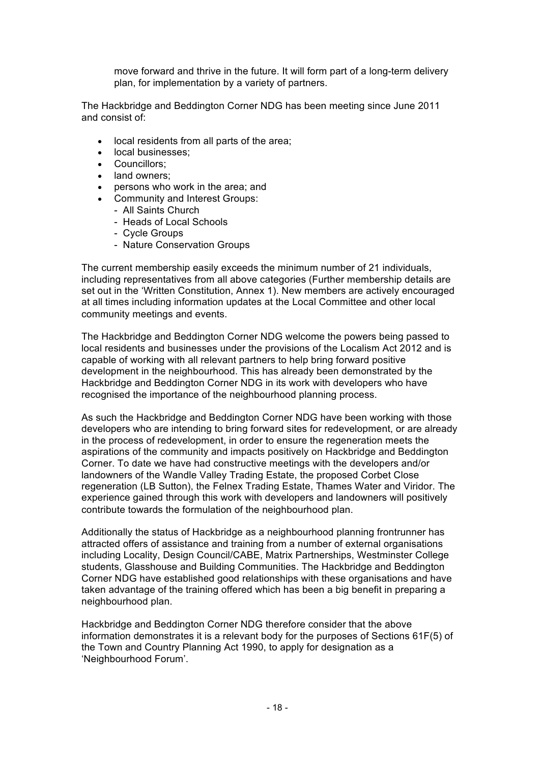move forward and thrive in the future. It will form part of a long-term delivery plan, for implementation by a variety of partners.

The Hackbridge and Beddington Corner NDG has been meeting since June 2011 and consist of:

- local residents from all parts of the area;
- local businesses;
- Councillors;
- land owners:
- persons who work in the area; and
- Community and Interest Groups:
	- All Saints Church
	- Heads of Local Schools
	- Cycle Groups
	- Nature Conservation Groups

The current membership easily exceeds the minimum number of 21 individuals, including representatives from all above categories (Further membership details are set out in the 'Written Constitution, Annex 1). New members are actively encouraged at all times including information updates at the Local Committee and other local community meetings and events.

The Hackbridge and Beddington Corner NDG welcome the powers being passed to local residents and businesses under the provisions of the Localism Act 2012 and is capable of working with all relevant partners to help bring forward positive development in the neighbourhood. This has already been demonstrated by the Hackbridge and Beddington Corner NDG in its work with developers who have recognised the importance of the neighbourhood planning process.

As such the Hackbridge and Beddington Corner NDG have been working with those developers who are intending to bring forward sites for redevelopment, or are already in the process of redevelopment, in order to ensure the regeneration meets the aspirations of the community and impacts positively on Hackbridge and Beddington Corner. To date we have had constructive meetings with the developers and/or landowners of the Wandle Valley Trading Estate, the proposed Corbet Close regeneration (LB Sutton), the Felnex Trading Estate, Thames Water and Viridor. The experience gained through this work with developers and landowners will positively contribute towards the formulation of the neighbourhood plan.

Additionally the status of Hackbridge as a neighbourhood planning frontrunner has attracted offers of assistance and training from a number of external organisations including Locality, Design Council/CABE, Matrix Partnerships, Westminster College students, Glasshouse and Building Communities. The Hackbridge and Beddington Corner NDG have established good relationships with these organisations and have taken advantage of the training offered which has been a big benefit in preparing a neighbourhood plan.

Hackbridge and Beddington Corner NDG therefore consider that the above information demonstrates it is a relevant body for the purposes of Sections 61F(5) of the Town and Country Planning Act 1990, to apply for designation as a 'Neighbourhood Forum'.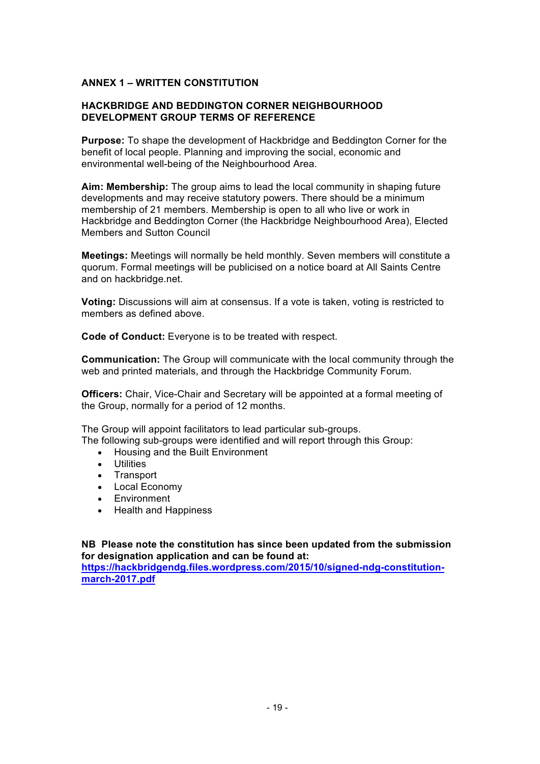### **ANNEX 1 – WRITTEN CONSTITUTION**

### **HACKBRIDGE AND BEDDINGTON CORNER NEIGHBOURHOOD DEVELOPMENT GROUP TERMS OF REFERENCE**

**Purpose:** To shape the development of Hackbridge and Beddington Corner for the benefit of local people. Planning and improving the social, economic and environmental well-being of the Neighbourhood Area.

**Aim: Membership:** The group aims to lead the local community in shaping future developments and may receive statutory powers. There should be a minimum membership of 21 members. Membership is open to all who live or work in Hackbridge and Beddington Corner (the Hackbridge Neighbourhood Area), Elected Members and Sutton Council

**Meetings:** Meetings will normally be held monthly. Seven members will constitute a quorum. Formal meetings will be publicised on a notice board at All Saints Centre and on hackbridge.net.

**Voting:** Discussions will aim at consensus. If a vote is taken, voting is restricted to members as defined above.

**Code of Conduct:** Everyone is to be treated with respect.

**Communication:** The Group will communicate with the local community through the web and printed materials, and through the Hackbridge Community Forum.

**Officers:** Chair, Vice-Chair and Secretary will be appointed at a formal meeting of the Group, normally for a period of 12 months.

The Group will appoint facilitators to lead particular sub-groups. The following sub-groups were identified and will report through this Group:

- Housing and the Built Environment
- Utilities
- Transport
- Local Economy
- Environment
- Health and Happiness

**NB Please note the constitution has since been updated from the submission for designation application and can be found at:**

**https://hackbridgendg.files.wordpress.com/2015/10/signed-ndg-constitutionmarch-2017.pdf**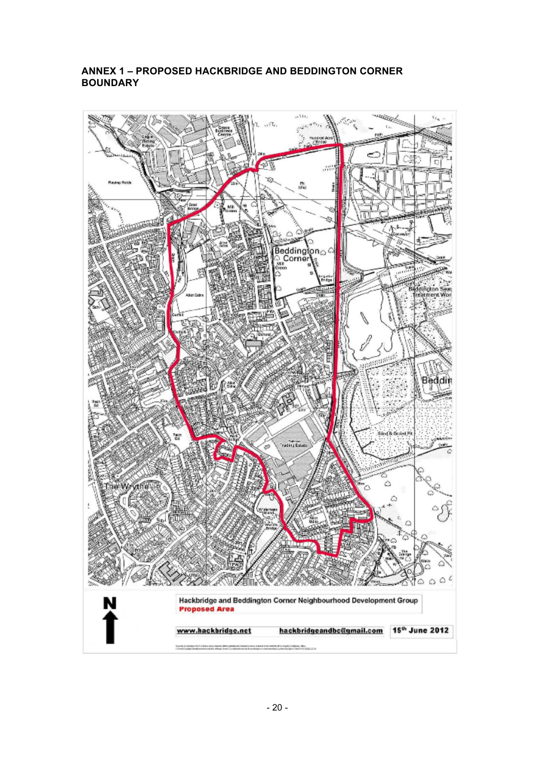### **ANNEX 1 – PROPOSED HACKBRIDGE AND BEDDINGTON CORNER BOUNDARY**